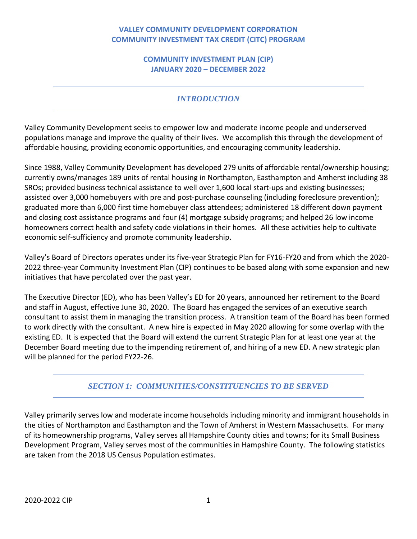## **VALLEY COMMUNITY DEVELOPMENT CORPORATION COMMUNITY INVESTMENT TAX CREDIT (CITC) PROGRAM**

## **COMMUNITY INVESTMENT PLAN (CIP) JANUARY 2020 – DECEMBER 2022**

# *INTRODUCTION*

Valley Community Development seeks to empower low and moderate income people and underserved populations manage and improve the quality of their lives. We accomplish this through the development of affordable housing, providing economic opportunities, and encouraging community leadership.

Since 1988, Valley Community Development has developed 279 units of affordable rental/ownership housing; currently owns/manages 189 units of rental housing in Northampton, Easthampton and Amherst including 38 SROs; provided business technical assistance to well over 1,600 local start-ups and existing businesses; assisted over 3,000 homebuyers with pre and post-purchase counseling (including foreclosure prevention); graduated more than 6,000 first time homebuyer class attendees; administered 18 different down payment and closing cost assistance programs and four (4) mortgage subsidy programs; and helped 26 low income homeowners correct health and safety code violations in their homes. All these activities help to cultivate economic self-sufficiency and promote community leadership.

Valley's Board of Directors operates under its five-year Strategic Plan for FY16-FY20 and from which the 2020- 2022 three-year Community Investment Plan (CIP) continues to be based along with some expansion and new initiatives that have percolated over the past year.

The Executive Director (ED), who has been Valley's ED for 20 years, announced her retirement to the Board and staff in August, effective June 30, 2020. The Board has engaged the services of an executive search consultant to assist them in managing the transition process. A transition team of the Board has been formed to work directly with the consultant. A new hire is expected in May 2020 allowing for some overlap with the existing ED. It is expected that the Board will extend the current Strategic Plan for at least one year at the December Board meeting due to the impending retirement of, and hiring of a new ED. A new strategic plan will be planned for the period FY22-26.

# *SECTION 1: COMMUNITIES/CONSTITUENCIES TO BE SERVED*

Valley primarily serves low and moderate income households including minority and immigrant households in the cities of Northampton and Easthampton and the Town of Amherst in Western Massachusetts. For many of its homeownership programs, Valley serves all Hampshire County cities and towns; for its Small Business Development Program, Valley serves most of the communities in Hampshire County. The following statistics are taken from the 2018 US Census Population estimates.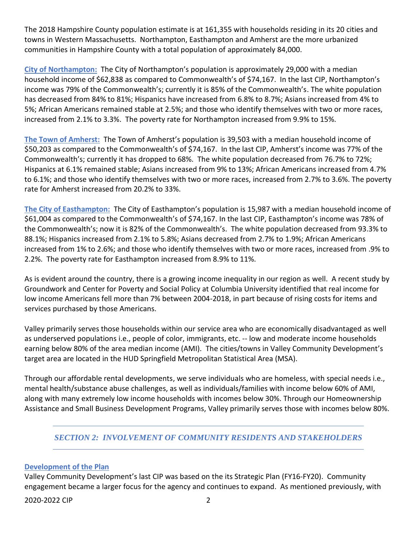The 2018 Hampshire County population estimate is at 161,355 with households residing in its 20 cities and towns in Western Massachusetts. Northampton, Easthampton and Amherst are the more urbanized communities in Hampshire County with a total population of approximately 84,000.

**City of Northampton:** The City of Northampton's population is approximately 29,000 with a median household income of \$62,838 as compared to Commonwealth's of \$74,167. In the last CIP, Northampton's income was 79% of the Commonwealth's; currently it is 85% of the Commonwealth's. The white population has decreased from 84% to 81%; Hispanics have increased from 6.8% to 8.7%; Asians increased from 4% to 5%; African Americans remained stable at 2.5%; and those who identify themselves with two or more races, increased from 2.1% to 3.3%. The poverty rate for Northampton increased from 9.9% to 15%.

**The Town of Amherst:** The Town of Amherst's population is 39,503 with a median household income of \$50,203 as compared to the Commonwealth's of \$74,167. In the last CIP, Amherst's income was 77% of the Commonwealth's; currently it has dropped to 68%. The white population decreased from 76.7% to 72%; Hispanics at 6.1% remained stable; Asians increased from 9% to 13%; African Americans increased from 4.7% to 6.1%; and those who identify themselves with two or more races, increased from 2.7% to 3.6%. The poverty rate for Amherst increased from 20.2% to 33%.

**The City of Easthampton:** The City of Easthampton's population is 15,987 with a median household income of \$61,004 as compared to the Commonwealth's of \$74,167. In the last CIP, Easthampton's income was 78% of the Commonwealth's; now it is 82% of the Commonwealth's. The white population decreased from 93.3% to 88.1%; Hispanics increased from 2.1% to 5.8%; Asians decreased from 2.7% to 1.9%; African Americans increased from 1% to 2.6%; and those who identify themselves with two or more races, increased from .9% to 2.2%. The poverty rate for Easthampton increased from 8.9% to 11%.

As is evident around the country, there is a growing income inequality in our region as well. A recent study by Groundwork and Center for Poverty and Social Policy at Columbia University identified that real income for low income Americans fell more than 7% between 2004-2018, in part because of rising costs for items and services purchased by those Americans.

Valley primarily serves those households within our service area who are economically disadvantaged as well as underserved populations i.e., people of color, immigrants, etc. -- low and moderate income households earning below 80% of the area median income (AMI). The cities/towns in Valley Community Development's target area are located in the HUD Springfield Metropolitan Statistical Area (MSA).

Through our affordable rental developments, we serve individuals who are homeless, with special needs i.e., mental health/substance abuse challenges, as well as individuals/families with income below 60% of AMI, along with many extremely low income households with incomes below 30%. Through our Homeownership Assistance and Small Business Development Programs, Valley primarily serves those with incomes below 80%.

## *SECTION 2: INVOLVEMENT OF COMMUNITY RESIDENTS AND STAKEHOLDERS*

## **Development of the Plan**

Valley Community Development's last CIP was based on the its Strategic Plan (FY16-FY20). Community engagement became a larger focus for the agency and continues to expand. As mentioned previously, with

2020-2022 CIP 2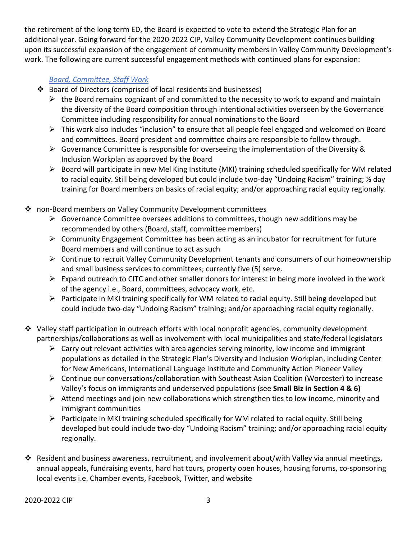the retirement of the long term ED, the Board is expected to vote to extend the Strategic Plan for an additional year. Going forward for the 2020-2022 CIP, Valley Community Development continues building upon its successful expansion of the engagement of community members in Valley Community Development's work. The following are current successful engagement methods with continued plans for expansion:

## *Board, Committee, Staff Work*

- Board of Directors (comprised of local residents and businesses)
	- $\triangleright$  the Board remains cognizant of and committed to the necessity to work to expand and maintain the diversity of the Board composition through intentional activities overseen by the Governance Committee including responsibility for annual nominations to the Board
	- $\triangleright$  This work also includes "inclusion" to ensure that all people feel engaged and welcomed on Board and committees. Board president and committee chairs are responsible to follow through.
	- $\triangleright$  Governance Committee is responsible for overseeing the implementation of the Diversity & Inclusion Workplan as approved by the Board
	- $\triangleright$  Board will participate in new Mel King Institute (MKI) training scheduled specifically for WM related to racial equity. Still being developed but could include two-day "Undoing Racism" training; ½ day training for Board members on basics of racial equity; and/or approaching racial equity regionally.
- ❖ non-Board members on Valley Community Development committees
	- $\triangleright$  Governance Committee oversees additions to committees, though new additions may be recommended by others (Board, staff, committee members)
	- $\triangleright$  Community Engagement Committee has been acting as an incubator for recruitment for future Board members and will continue to act as such
	- $\triangleright$  Continue to recruit Valley Community Development tenants and consumers of our homeownership and small business services to committees; currently five (5) serve.
	- $\triangleright$  Expand outreach to CITC and other smaller donors for interest in being more involved in the work of the agency i.e., Board, committees, advocacy work, etc.
	- $\triangleright$  Participate in MKI training specifically for WM related to racial equity. Still being developed but could include two-day "Undoing Racism" training; and/or approaching racial equity regionally.
- $\clubsuit$  Valley staff participation in outreach efforts with local nonprofit agencies, community development partnerships/collaborations as well as involvement with local municipalities and state/federal legislators
	- $\triangleright$  Carry out relevant activities with area agencies serving minority, low income and immigrant populations as detailed in the Strategic Plan's Diversity and Inclusion Workplan, including Center for New Americans, International Language Institute and Community Action Pioneer Valley
	- $\triangleright$  Continue our conversations/collaboration with Southeast Asian Coalition (Worcester) to increase Valley's focus on immigrants and underserved populations (see **Small Biz in Section 4 & 6)**
	- $\triangleright$  Attend meetings and join new collaborations which strengthen ties to low income, minority and immigrant communities
	- $\triangleright$  Participate in MKI training scheduled specifically for WM related to racial equity. Still being developed but could include two-day "Undoing Racism" training; and/or approaching racial equity regionally.
- $\clubsuit$  Resident and business awareness, recruitment, and involvement about/with Valley via annual meetings, annual appeals, fundraising events, hard hat tours, property open houses, housing forums, co-sponsoring local events i.e. Chamber events, Facebook, Twitter, and website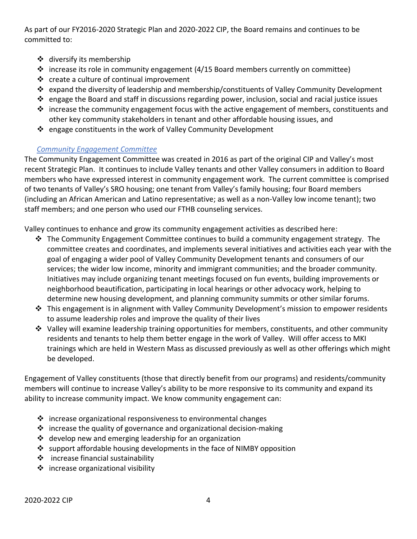As part of our FY2016-2020 Strategic Plan and 2020-2022 CIP, the Board remains and continues to be committed to:

- ❖ diversify its membership
- $\cdot \cdot$  increase its role in community engagement (4/15 Board members currently on committee)
- $\cdot \cdot$  create a culture of continual improvement
- expand the diversity of leadership and membership/constituents of Valley Community Development
- $\cdot$  engage the Board and staff in discussions regarding power, inclusion, social and racial justice issues
- $\div$  increase the community engagement focus with the active engagement of members, constituents and other key community stakeholders in tenant and other affordable housing issues, and
- ❖ engage constituents in the work of Valley Community Development

## *Community Engagement Committee*

The Community Engagement Committee was created in 2016 as part of the original CIP and Valley's most recent Strategic Plan. It continues to include Valley tenants and other Valley consumers in addition to Board members who have expressed interest in community engagement work. The current committee is comprised of two tenants of Valley's SRO housing; one tenant from Valley's family housing; four Board members (including an African American and Latino representative; as well as a non-Valley low income tenant); two staff members; and one person who used our FTHB counseling services.

Valley continues to enhance and grow its community engagement activities as described here:

- $\div$  The Community Engagement Committee continues to build a community engagement strategy. The committee creates and coordinates, and implements several initiatives and activities each year with the goal of engaging a wider pool of Valley Community Development tenants and consumers of our services; the wider low income, minority and immigrant communities; and the broader community. Initiatives may include organizing tenant meetings focused on fun events, building improvements or neighborhood beautification, participating in local hearings or other advocacy work, helping to determine new housing development, and planning community summits or other similar forums.
- $\cdot \cdot$  This engagement is in alignment with Valley Community Development's mission to empower residents to assume leadership roles and improve the quality of their lives
- Valley will examine leadership training opportunities for members, constituents, and other community residents and tenants to help them better engage in the work of Valley. Will offer access to MKI trainings which are held in Western Mass as discussed previously as well as other offerings which might be developed.

Engagement of Valley constituents (those that directly benefit from our programs) and residents/community members will continue to increase Valley's ability to be more responsive to its community and expand its ability to increase community impact. We know community engagement can:

- $\cdot$  increase organizational responsiveness to environmental changes
- $\cdot$  increase the quality of governance and organizational decision-making
- $\cdot$  develop new and emerging leadership for an organization
- $\div$  support affordable housing developments in the face of NIMBY opposition
- $\triangleleft$  increase financial sustainability
- $\triangleq$  increase organizational visibility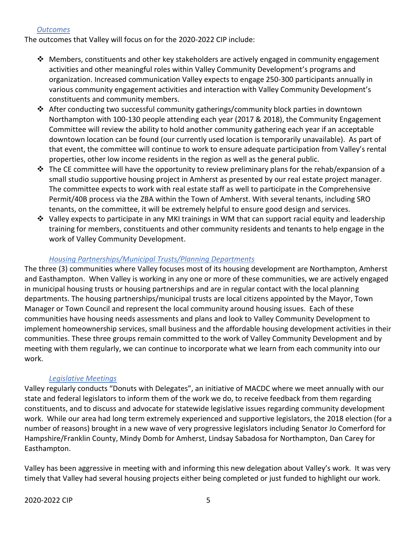## *Outcomes*

The outcomes that Valley will focus on for the 2020-2022 CIP include:

- ❖ Members, constituents and other key stakeholders are actively engaged in community engagement activities and other meaningful roles within Valley Community Development's programs and organization. Increased communication Valley expects to engage 250-300 participants annually in various community engagement activities and interaction with Valley Community Development's constituents and community members.
- $\triangle$  After conducting two successful community gatherings/community block parties in downtown Northampton with 100-130 people attending each year (2017 & 2018), the Community Engagement Committee will review the ability to hold another community gathering each year if an acceptable downtown location can be found (our currently used location is temporarily unavailable). As part of that event, the committee will continue to work to ensure adequate participation from Valley's rental properties, other low income residents in the region as well as the general public.
- $\div$  The CE committee will have the opportunity to review preliminary plans for the rehab/expansion of a small studio supportive housing project in Amherst as presented by our real estate project manager. The committee expects to work with real estate staff as well to participate in the Comprehensive Permit/40B process via the ZBA within the Town of Amherst. With several tenants, including SRO tenants, on the committee, it will be extremely helpful to ensure good design and services.
- $\div$  Valley expects to participate in any MKI trainings in WM that can support racial equity and leadership training for members, constituents and other community residents and tenants to help engage in the work of Valley Community Development.

#### *Housing Partnerships/Municipal Trusts/Planning Departments*

The three (3) communities where Valley focuses most of its housing development are Northampton, Amherst and Easthampton. When Valley is working in any one or more of these communities, we are actively engaged in municipal housing trusts or housing partnerships and are in regular contact with the local planning departments. The housing partnerships/municipal trusts are local citizens appointed by the Mayor, Town Manager or Town Council and represent the local community around housing issues. Each of these communities have housing needs assessments and plans and look to Valley Community Development to implement homeownership services, small business and the affordable housing development activities in their communities. These three groups remain committed to the work of Valley Community Development and by meeting with them regularly, we can continue to incorporate what we learn from each community into our work.

#### *Legislative Meetings*

Valley regularly conducts "Donuts with Delegates", an initiative of MACDC where we meet annually with our state and federal legislators to inform them of the work we do, to receive feedback from them regarding constituents, and to discuss and advocate for statewide legislative issues regarding community development work. While our area had long term extremely experienced and supportive legislators, the 2018 election (for a number of reasons) brought in a new wave of very progressive legislators including Senator Jo Comerford for Hampshire/Franklin County, Mindy Domb for Amherst, Lindsay Sabadosa for Northampton, Dan Carey for Easthampton.

Valley has been aggressive in meeting with and informing this new delegation about Valley's work. It was very timely that Valley had several housing projects either being completed or just funded to highlight our work.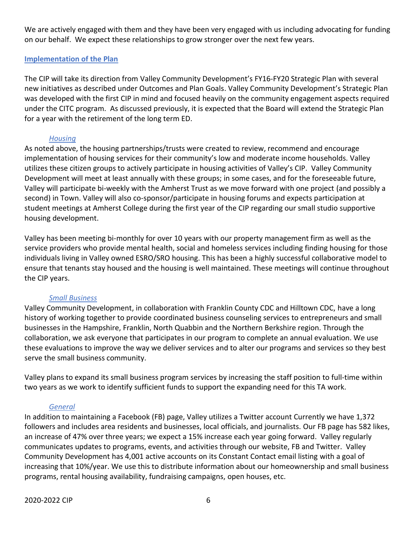We are actively engaged with them and they have been very engaged with us including advocating for funding on our behalf. We expect these relationships to grow stronger over the next few years.

## **Implementation of the Plan**

The CIP will take its direction from Valley Community Development's FY16-FY20 Strategic Plan with several new initiatives as described under Outcomes and Plan Goals. Valley Community Development's Strategic Plan was developed with the first CIP in mind and focused heavily on the community engagement aspects required under the CITC program. As discussed previously, it is expected that the Board will extend the Strategic Plan for a year with the retirement of the long term ED.

## *Housing*

As noted above, the housing partnerships/trusts were created to review, recommend and encourage implementation of housing services for their community's low and moderate income households. Valley utilizes these citizen groups to actively participate in housing activities of Valley's CIP. Valley Community Development will meet at least annually with these groups; in some cases, and for the foreseeable future, Valley will participate bi-weekly with the Amherst Trust as we move forward with one project (and possibly a second) in Town. Valley will also co-sponsor/participate in housing forums and expects participation at student meetings at Amherst College during the first year of the CIP regarding our small studio supportive housing development.

Valley has been meeting bi-monthly for over 10 years with our property management firm as well as the service providers who provide mental health, social and homeless services including finding housing for those individuals living in Valley owned ESRO/SRO housing. This has been a highly successful collaborative model to ensure that tenants stay housed and the housing is well maintained. These meetings will continue throughout the CIP years.

### *Small Business*

Valley Community Development, in collaboration with Franklin County CDC and Hilltown CDC, have a long history of working together to provide coordinated business counseling services to entrepreneurs and small businesses in the Hampshire, Franklin, North Quabbin and the Northern Berkshire region. Through the collaboration, we ask everyone that participates in our program to complete an annual evaluation. We use these evaluations to improve the way we deliver services and to alter our programs and services so they best serve the small business community.

Valley plans to expand its small business program services by increasing the staff position to full-time within two years as we work to identify sufficient funds to support the expanding need for this TA work.

## *General*

In addition to maintaining a Facebook (FB) page, Valley utilizes a Twitter account Currently we have 1,372 followers and includes area residents and businesses, local officials, and journalists. Our FB page has 582 likes, an increase of 47% over three years; we expect a 15% increase each year going forward. Valley regularly communicates updates to programs, events, and activities through our website, FB and Twitter. Valley Community Development has 4,001 active accounts on its Constant Contact email listing with a goal of increasing that 10%/year. We use this to distribute information about our homeownership and small business programs, rental housing availability, fundraising campaigns, open houses, etc.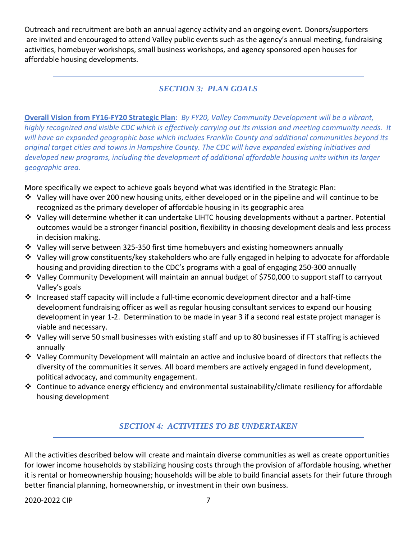Outreach and recruitment are both an annual agency activity and an ongoing event. Donors/supporters are invited and encouraged to attend Valley public events such as the agency's annual meeting, fundraising activities, homebuyer workshops, small business workshops, and agency sponsored open houses for affordable housing developments.

## *SECTION 3: PLAN GOALS*

**Overall Vision from FY16-FY20 Strategic Plan**: *By FY20, Valley Community Development will be a vibrant, highly recognized and visible CDC which is effectively carrying out its mission and meeting community needs. It will have an expanded geographic base which includes Franklin County and additional communities beyond its original target cities and towns in Hampshire County. The CDC will have expanded existing initiatives and developed new programs, including the development of additional affordable housing units within its larger geographic area.*

More specifically we expect to achieve goals beyond what was identified in the Strategic Plan:

- $\clubsuit$  Valley will have over 200 new housing units, either developed or in the pipeline and will continue to be recognized as the primary developer of affordable housing in its geographic area
- Valley will determine whether it can undertake LIHTC housing developments without a partner. Potential outcomes would be a stronger financial position, flexibility in choosing development deals and less process in decision making.
- $\div$  Valley will serve between 325-350 first time homebuyers and existing homeowners annually
- Valley will grow constituents/key stakeholders who are fully engaged in helping to advocate for affordable housing and providing direction to the CDC's programs with a goal of engaging 250-300 annually
- Valley Community Development will maintain an annual budget of \$750,000 to support staff to carryout Valley's goals
- Increased staff capacity will include a full-time economic development director and a half-time development fundraising officer as well as regular housing consultant services to expand our housing development in year 1-2. Determination to be made in year 3 if a second real estate project manager is viable and necessary.
- $\div$  Valley will serve 50 small businesses with existing staff and up to 80 businesses if FT staffing is achieved annually
- $\div$  Valley Community Development will maintain an active and inclusive board of directors that reflects the diversity of the communities it serves. All board members are actively engaged in fund development, political advocacy, and community engagement.
- Continue to advance energy efficiency and environmental sustainability/climate resiliency for affordable housing development

# *SECTION 4: ACTIVITIES TO BE UNDERTAKEN*

All the activities described below will create and maintain diverse communities as well as create opportunities for lower income households by stabilizing housing costs through the provision of affordable housing, whether it is rental or homeownership housing; households will be able to build financial assets for their future through better financial planning, homeownership, or investment in their own business.

2020-2022 CIP 2020-2022 7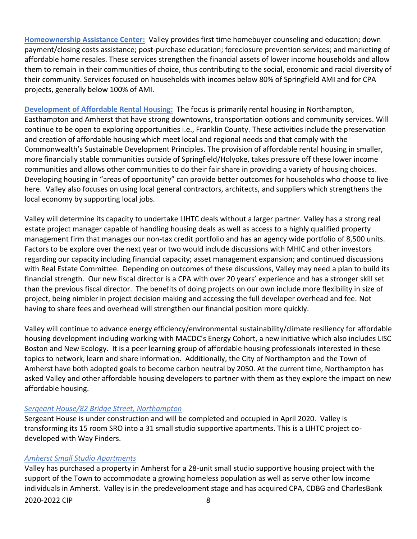**Homeownership Assistance Center:** Valley provides first time homebuyer counseling and education; down payment/closing costs assistance; post-purchase education; foreclosure prevention services; and marketing of affordable home resales. These services strengthen the financial assets of lower income households and allow them to remain in their communities of choice, thus contributing to the social, economic and racial diversity of their community. Services focused on households with incomes below 80% of Springfield AMI and for CPA projects, generally below 100% of AMI.

**Development of Affordable Rental Housing:** The focus is primarily rental housing in Northampton, Easthampton and Amherst that have strong downtowns, transportation options and community services. Will continue to be open to exploring opportunities i.e., Franklin County. These activities include the preservation and creation of affordable housing which meet local and regional needs and that comply with the Commonwealth's Sustainable Development Principles. The provision of affordable rental housing in smaller, more financially stable communities outside of Springfield/Holyoke, takes pressure off these lower income communities and allows other communities to do their fair share in providing a variety of housing choices. Developing housing in "areas of opportunity" can provide better outcomes for households who choose to live here. Valley also focuses on using local general contractors, architects, and suppliers which strengthens the local economy by supporting local jobs.

Valley will determine its capacity to undertake LIHTC deals without a larger partner. Valley has a strong real estate project manager capable of handling housing deals as well as access to a highly qualified property management firm that manages our non-tax credit portfolio and has an agency wide portfolio of 8,500 units. Factors to be explore over the next year or two would include discussions with MHIC and other investors regarding our capacity including financial capacity; asset management expansion; and continued discussions with Real Estate Committee. Depending on outcomes of these discussions, Valley may need a plan to build its financial strength. Our new fiscal director is a CPA with over 20 years' experience and has a stronger skill set than the previous fiscal director. The benefits of doing projects on our own include more flexibility in size of project, being nimbler in project decision making and accessing the full developer overhead and fee. Not having to share fees and overhead will strengthen our financial position more quickly.

Valley will continue to advance energy efficiency/environmental sustainability/climate resiliency for affordable housing development including working with MACDC's Energy Cohort, a new initiative which also includes LISC Boston and New Ecology. It is a peer learning group of affordable housing professionals interested in these topics to network, learn and share information. Additionally, the City of Northampton and the Town of Amherst have both adopted goals to become carbon neutral by 2050. At the current time, Northampton has asked Valley and other affordable housing developers to partner with them as they explore the impact on new affordable housing.

### *Sergeant House/82 Bridge Street, Northampton*

Sergeant House is under construction and will be completed and occupied in April 2020. Valley is transforming its 15 room SRO into a 31 small studio supportive apartments. This is a LIHTC project codeveloped with Way Finders.

## *Amherst Small Studio Apartments*

2020-2022 CIP 8 Valley has purchased a property in Amherst for a 28-unit small studio supportive housing project with the support of the Town to accommodate a growing homeless population as well as serve other low income individuals in Amherst. Valley is in the predevelopment stage and has acquired CPA, CDBG and CharlesBank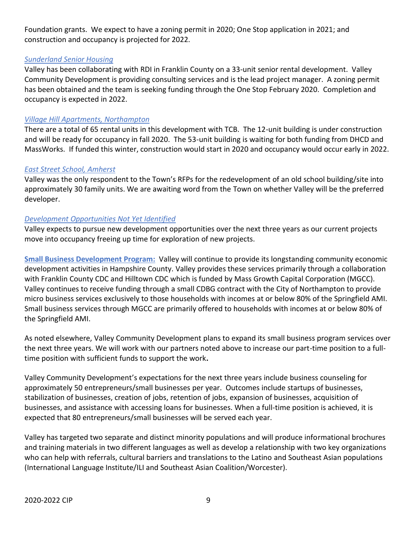Foundation grants. We expect to have a zoning permit in 2020; One Stop application in 2021; and construction and occupancy is projected for 2022.

### *Sunderland Senior Housing*

Valley has been collaborating with RDI in Franklin County on a 33-unit senior rental development. Valley Community Development is providing consulting services and is the lead project manager. A zoning permit has been obtained and the team is seeking funding through the One Stop February 2020. Completion and occupancy is expected in 2022.

#### *Village Hill Apartments, Northampton*

There are a total of 65 rental units in this development with TCB. The 12-unit building is under construction and will be ready for occupancy in fall 2020. The 53-unit building is waiting for both funding from DHCD and MassWorks. If funded this winter, construction would start in 2020 and occupancy would occur early in 2022.

#### *East Street School, Amherst*

Valley was the only respondent to the Town's RFPs for the redevelopment of an old school building/site into approximately 30 family units. We are awaiting word from the Town on whether Valley will be the preferred developer.

#### *Development Opportunities Not Yet Identified*

Valley expects to pursue new development opportunities over the next three years as our current projects move into occupancy freeing up time for exploration of new projects.

**Small Business Development Program:** Valley will continue to provide its longstanding community economic development activities in Hampshire County. Valley provides these services primarily through a collaboration with Franklin County CDC and Hilltown CDC which is funded by Mass Growth Capital Corporation (MGCC). Valley continues to receive funding through a small CDBG contract with the City of Northampton to provide micro business services exclusively to those households with incomes at or below 80% of the Springfield AMI. Small business services through MGCC are primarily offered to households with incomes at or below 80% of the Springfield AMI.

As noted elsewhere, Valley Community Development plans to expand its small business program services over the next three years. We will work with our partners noted above to increase our part-time position to a fulltime position with sufficient funds to support the work**.** 

Valley Community Development's expectations for the next three years include business counseling for approximately 50 entrepreneurs/small businesses per year. Outcomes include startups of businesses, stabilization of businesses, creation of jobs, retention of jobs, expansion of businesses, acquisition of businesses, and assistance with accessing loans for businesses. When a full-time position is achieved, it is expected that 80 entrepreneurs/small businesses will be served each year.

Valley has targeted two separate and distinct minority populations and will produce informational brochures and training materials in two different languages as well as develop a relationship with two key organizations who can help with referrals, cultural barriers and translations to the Latino and Southeast Asian populations (International Language Institute/ILI and Southeast Asian Coalition/Worcester).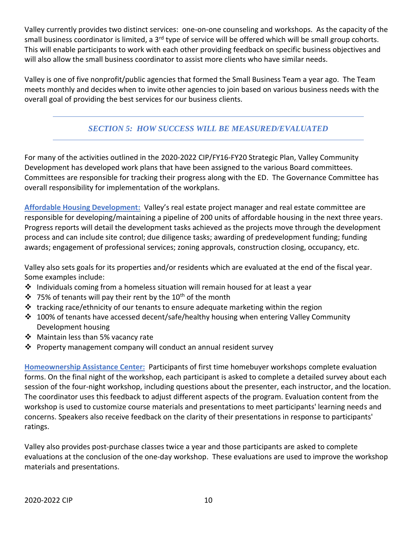Valley currently provides two distinct services: one-on-one counseling and workshops. As the capacity of the small business coordinator is limited, a 3<sup>rd</sup> type of service will be offered which will be small group cohorts. This will enable participants to work with each other providing feedback on specific business objectives and will also allow the small business coordinator to assist more clients who have similar needs.

Valley is one of five nonprofit/public agencies that formed the Small Business Team a year ago. The Team meets monthly and decides when to invite other agencies to join based on various business needs with the overall goal of providing the best services for our business clients.

# *SECTION 5: HOW SUCCESS WILL BE MEASURED/EVALUATED*

For many of the activities outlined in the 2020-2022 CIP/FY16-FY20 Strategic Plan, Valley Community Development has developed work plans that have been assigned to the various Board committees. Committees are responsible for tracking their progress along with the ED. The Governance Committee has overall responsibility for implementation of the workplans.

**Affordable Housing Development:** Valley's real estate project manager and real estate committee are responsible for developing/maintaining a pipeline of 200 units of affordable housing in the next three years. Progress reports will detail the development tasks achieved as the projects move through the development process and can include site control; due diligence tasks; awarding of predevelopment funding; funding awards; engagement of professional services; zoning approvals, construction closing, occupancy, etc.

Valley also sets goals for its properties and/or residents which are evaluated at the end of the fiscal year. Some examples include:

- Individuals coming from a homeless situation will remain housed for at least a year
- $\cdot$  75% of tenants will pay their rent by the 10<sup>th</sup> of the month
- $\cdot \cdot$  tracking race/ethnicity of our tenants to ensure adequate marketing within the region
- 100% of tenants have accessed decent/safe/healthy housing when entering Valley Community Development housing
- ❖ Maintain less than 5% vacancy rate
- Property management company will conduct an annual resident survey

**Homeownership Assistance Center:** Participants of first time homebuyer workshops complete evaluation forms. On the final night of the workshop, each participant is asked to complete a detailed survey about each session of the four-night workshop, including questions about the presenter, each instructor, and the location. The coordinator uses this feedback to adjust different aspects of the program. Evaluation content from the workshop is used to customize course materials and presentations to meet participants' learning needs and concerns. Speakers also receive feedback on the clarity of their presentations in response to participants' ratings.

Valley also provides post-purchase classes twice a year and those participants are asked to complete evaluations at the conclusion of the one-day workshop. These evaluations are used to improve the workshop materials and presentations.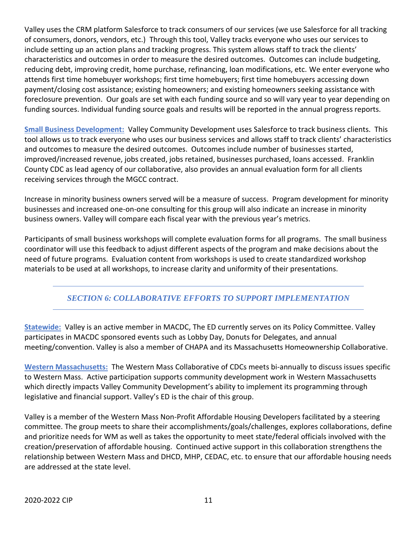Valley uses the CRM platform Salesforce to track consumers of our services (we use Salesforce for all tracking of consumers, donors, vendors, etc.) Through this tool, Valley tracks everyone who uses our services to include setting up an action plans and tracking progress. This system allows staff to track the clients' characteristics and outcomes in order to measure the desired outcomes. Outcomes can include budgeting, reducing debt, improving credit, home purchase, refinancing, loan modifications, etc. We enter everyone who attends first time homebuyer workshops; first time homebuyers; first time homebuyers accessing down payment/closing cost assistance; existing homeowners; and existing homeowners seeking assistance with foreclosure prevention. Our goals are set with each funding source and so will vary year to year depending on funding sources. Individual funding source goals and results will be reported in the annual progress reports.

**Small Business Development:** Valley Community Development uses Salesforce to track business clients. This tool allows us to track everyone who uses our business services and allows staff to track clients' characteristics and outcomes to measure the desired outcomes. Outcomes include number of businesses started, improved/increased revenue, jobs created, jobs retained, businesses purchased, loans accessed. Franklin County CDC as lead agency of our collaborative, also provides an annual evaluation form for all clients receiving services through the MGCC contract.

Increase in minority business owners served will be a measure of success. Program development for minority businesses and increased one-on-one consulting for this group will also indicate an increase in minority business owners. Valley will compare each fiscal year with the previous year's metrics.

Participants of small business workshops will complete evaluation forms for all programs. The small business coordinator will use this feedback to adjust different aspects of the program and make decisions about the need of future programs. Evaluation content from workshops is used to create standardized workshop materials to be used at all workshops, to increase clarity and uniformity of their presentations.

# *SECTION 6: COLLABORATIVE EFFORTS TO SUPPORT IMPLEMENTATION*

**Statewide:** Valley is an active member in MACDC, The ED currently serves on its Policy Committee. Valley participates in MACDC sponsored events such as Lobby Day, Donuts for Delegates, and annual meeting/convention. Valley is also a member of CHAPA and its Massachusetts Homeownership Collaborative.

**Western Massachusetts:** The Western Mass Collaborative of CDCs meets bi-annually to discuss issues specific to Western Mass. Active participation supports community development work in Western Massachusetts which directly impacts Valley Community Development's ability to implement its programming through legislative and financial support. Valley's ED is the chair of this group.

Valley is a member of the Western Mass Non-Profit Affordable Housing Developers facilitated by a steering committee. The group meets to share their accomplishments/goals/challenges, explores collaborations, define and prioritize needs for WM as well as takes the opportunity to meet state/federal officials involved with the creation/preservation of affordable housing. Continued active support in this collaboration strengthens the relationship between Western Mass and DHCD, MHP, CEDAC, etc. to ensure that our affordable housing needs are addressed at the state level.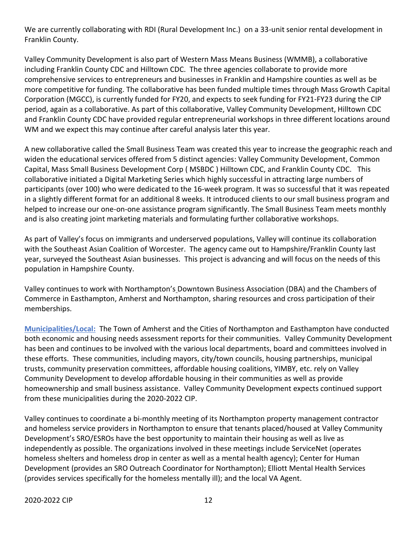We are currently collaborating with RDI (Rural Development Inc.) on a 33-unit senior rental development in Franklin County.

Valley Community Development is also part of Western Mass Means Business (WMMB), a collaborative including Franklin County CDC and Hilltown CDC. The three agencies collaborate to provide more comprehensive services to entrepreneurs and businesses in Franklin and Hampshire counties as well as be more competitive for funding. The collaborative has been funded multiple times through Mass Growth Capital Corporation (MGCC), is currently funded for FY20, and expects to seek funding for FY21-FY23 during the CIP period, again as a collaborative. As part of this collaborative, Valley Community Development, Hilltown CDC and Franklin County CDC have provided regular entrepreneurial workshops in three different locations around WM and we expect this may continue after careful analysis later this year.

A new collaborative called the Small Business Team was created this year to increase the geographic reach and widen the educational services offered from 5 distinct agencies: Valley Community Development, Common Capital, Mass Small Business Development Corp ( MSBDC ) Hilltown CDC, and Franklin County CDC. This collaborative initiated a Digital Marketing Series which highly successful in attracting large numbers of participants (over 100) who were dedicated to the 16-week program. It was so successful that it was repeated in a slightly different format for an additional 8 weeks. It introduced clients to our small business program and helped to increase our one-on-one assistance program significantly. The Small Business Team meets monthly and is also creating joint marketing materials and formulating further collaborative workshops.

As part of Valley's focus on immigrants and underserved populations, Valley will continue its collaboration with the Southeast Asian Coalition of Worcester. The agency came out to Hampshire/Franklin County last year, surveyed the Southeast Asian businesses. This project is advancing and will focus on the needs of this population in Hampshire County.

Valley continues to work with Northampton's Downtown Business Association (DBA) and the Chambers of Commerce in Easthampton, Amherst and Northampton, sharing resources and cross participation of their memberships.

**Municipalities/Local:** The Town of Amherst and the Cities of Northampton and Easthampton have conducted both economic and housing needs assessment reports for their communities. Valley Community Development has been and continues to be involved with the various local departments, board and committees involved in these efforts. These communities, including mayors, city/town councils, housing partnerships, municipal trusts, community preservation committees, affordable housing coalitions, YIMBY, etc. rely on Valley Community Development to develop affordable housing in their communities as well as provide homeownership and small business assistance. Valley Community Development expects continued support from these municipalities during the 2020-2022 CIP.

Valley continues to coordinate a bi-monthly meeting of its Northampton property management contractor and homeless service providers in Northampton to ensure that tenants placed/housed at Valley Community Development's SRO/ESROs have the best opportunity to maintain their housing as well as live as independently as possible. The organizations involved in these meetings include ServiceNet (operates homeless shelters and homeless drop in center as well as a mental health agency); Center for Human Development (provides an SRO Outreach Coordinator for Northampton); Elliott Mental Health Services (provides services specifically for the homeless mentally ill); and the local VA Agent.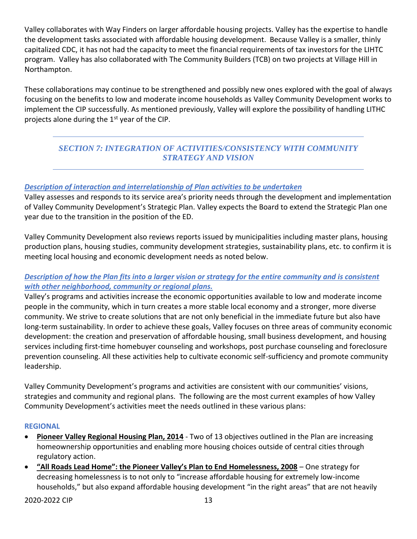Valley collaborates with Way Finders on larger affordable housing projects. Valley has the expertise to handle the development tasks associated with affordable housing development. Because Valley is a smaller, thinly capitalized CDC, it has not had the capacity to meet the financial requirements of tax investors for the LIHTC program. Valley has also collaborated with The Community Builders (TCB) on two projects at Village Hill in Northampton.

These collaborations may continue to be strengthened and possibly new ones explored with the goal of always focusing on the benefits to low and moderate income households as Valley Community Development works to implement the CIP successfully. As mentioned previously, Valley will explore the possibility of handling LITHC projects alone during the 1<sup>st</sup> year of the CIP.

# *SECTION 7: INTEGRATION OF ACTIVITIES/CONSISTENCY WITH COMMUNITY STRATEGY AND VISION*

## *Description of interaction and interrelationship of Plan activities to be undertaken*

Valley assesses and responds to its service area's priority needs through the development and implementation of Valley Community Development's Strategic Plan. Valley expects the Board to extend the Strategic Plan one year due to the transition in the position of the ED.

Valley Community Development also reviews reports issued by municipalities including master plans, housing production plans, housing studies, community development strategies, sustainability plans, etc. to confirm it is meeting local housing and economic development needs as noted below.

## **Description of how the Plan fits into a larger vision or strategy for the entire community and is consistent** *with other neighborhood, community or regional plans.*

Valley's programs and activities increase the economic opportunities available to low and moderate income people in the community, which in turn creates a more stable local economy and a stronger, more diverse community. We strive to create solutions that are not only beneficial in the immediate future but also have long-term sustainability. In order to achieve these goals, Valley focuses on three areas of community economic development: the creation and preservation of affordable housing, small business development, and housing services including first-time homebuyer counseling and workshops, post purchase counseling and foreclosure prevention counseling. All these activities help to cultivate economic self-sufficiency and promote community leadership.

Valley Community Development's programs and activities are consistent with our communities' visions, strategies and community and regional plans. The following are the most current examples of how Valley Community Development's activities meet the needs outlined in these various plans:

### **REGIONAL**

- **Pioneer Valley Regional Housing Plan, 2014** Two of 13 objectives outlined in the Plan are increasing homeownership opportunities and enabling more housing choices outside of central cities through regulatory action.
- **"All Roads Lead Home": the Pioneer Valley's Plan to End Homelessness, 2008** One strategy for decreasing homelessness is to not only to "increase affordable housing for extremely low-income households," but also expand affordable housing development "in the right areas" that are not heavily

2020-2022 CIP 2020-2022 13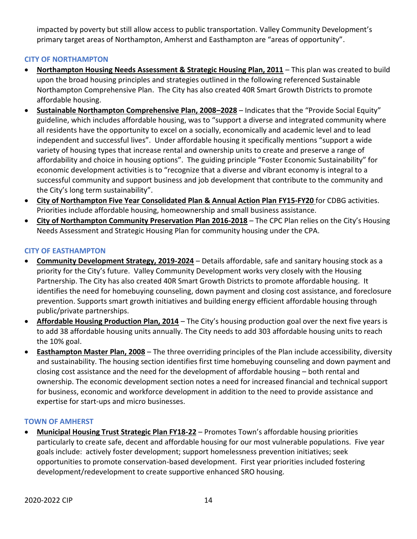impacted by poverty but still allow access to public transportation. Valley Community Development's primary target areas of Northampton, Amherst and Easthampton are "areas of opportunity".

## **CITY OF NORTHAMPTON**

- **Northampton Housing Needs Assessment & Strategic Housing Plan, 2011** This plan was created to build upon the broad housing principles and strategies outlined in the following referenced Sustainable Northampton Comprehensive Plan. The City has also created 40R Smart Growth Districts to promote affordable housing.
- **Sustainable Northampton Comprehensive Plan, 2008–2028** Indicates that the "Provide Social Equity" guideline, which includes affordable housing, was to "support a diverse and integrated community where all residents have the opportunity to excel on a socially, economically and academic level and to lead independent and successful lives". Under affordable housing it specifically mentions "support a wide variety of housing types that increase rental and ownership units to create and preserve a range of affordability and choice in housing options". The guiding principle "Foster Economic Sustainability" for economic development activities is to "recognize that a diverse and vibrant economy is integral to a successful community and support business and job development that contribute to the community and the City's long term sustainability".
- **City of Northampton Five Year Consolidated Plan & Annual Action Plan FY15-FY20** for CDBG activities. Priorities include affordable housing, homeownership and small business assistance.
- **City of Northampton Community Preservation Plan 2016-2018** The CPC Plan relies on the City's Housing Needs Assessment and Strategic Housing Plan for community housing under the CPA.

## **CITY OF EASTHAMPTON**

- **Community Development Strategy, 2019-2024** Details affordable, safe and sanitary housing stock as a priority for the City's future. Valley Community Development works very closely with the Housing Partnership. The City has also created 40R Smart Growth Districts to promote affordable housing. It identifies the need for homebuying counseling, down payment and closing cost assistance, and foreclosure prevention. Supports smart growth initiatives and building energy efficient affordable housing through public/private partnerships.
- **Affordable Housing Production Plan, 2014** The City's housing production goal over the next five years is to add 38 affordable housing units annually. The City needs to add 303 affordable housing units to reach the 10% goal.
- **Easthampton Master Plan, 2008** The three overriding principles of the Plan include accessibility, diversity and sustainability. The housing section identifies first time homebuying counseling and down payment and closing cost assistance and the need for the development of affordable housing – both rental and ownership. The economic development section notes a need for increased financial and technical support for business, economic and workforce development in addition to the need to provide assistance and expertise for start-ups and micro businesses.

### **TOWN OF AMHERST**

 **Municipal Housing Trust Strategic Plan FY18-22** – Promotes Town's affordable housing priorities particularly to create safe, decent and affordable housing for our most vulnerable populations. Five year goals include: actively foster development; support homelessness prevention initiatives; seek opportunities to promote conservation-based development. First year priorities included fostering development/redevelopment to create supportive enhanced SRO housing.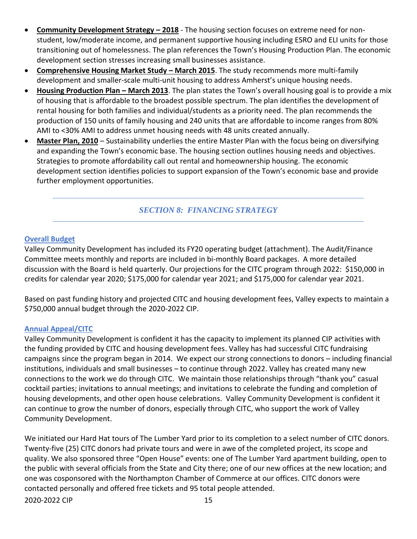- **Community Development Strategy – 2018** The housing section focuses on extreme need for nonstudent, low/moderate income, and permanent supportive housing including ESRO and ELI units for those transitioning out of homelessness. The plan references the Town's Housing Production Plan. The economic development section stresses increasing small businesses assistance.
- **Comprehensive Housing Market Study March 2015**. The study recommends more multi-family development and smaller-scale multi-unit housing to address Amherst's unique housing needs.
- **Housing Production Plan – March 2013**. The plan states the Town's overall housing goal is to provide a mix of housing that is affordable to the broadest possible spectrum. The plan identifies the development of rental housing for both families and individual/students as a priority need. The plan recommends the production of 150 units of family housing and 240 units that are affordable to income ranges from 80% AMI to <30% AMI to address unmet housing needs with 48 units created annually.
- **Master Plan, 2010** Sustainability underlies the entire Master Plan with the focus being on diversifying and expanding the Town's economic base. The housing section outlines housing needs and objectives. Strategies to promote affordability call out rental and homeownership housing. The economic development section identifies policies to support expansion of the Town's economic base and provide further employment opportunities.

*SECTION 8: FINANCING STRATEGY*

## **Overall Budget**

Valley Community Development has included its FY20 operating budget (attachment). The Audit/Finance Committee meets monthly and reports are included in bi-monthly Board packages. A more detailed discussion with the Board is held quarterly. Our projections for the CITC program through 2022: \$150,000 in credits for calendar year 2020; \$175,000 for calendar year 2021; and \$175,000 for calendar year 2021.

Based on past funding history and projected CITC and housing development fees, Valley expects to maintain a \$750,000 annual budget through the 2020-2022 CIP.

### **Annual Appeal/CITC**

Valley Community Development is confident it has the capacity to implement its planned CIP activities with the funding provided by CITC and housing development fees. Valley has had successful CITC fundraising campaigns since the program began in 2014. We expect our strong connections to donors – including financial institutions, individuals and small businesses – to continue through 2022. Valley has created many new connections to the work we do through CITC. We maintain those relationships through "thank you" casual cocktail parties; invitations to annual meetings; and invitations to celebrate the funding and completion of housing developments, and other open house celebrations. Valley Community Development is confident it can continue to grow the number of donors, especially through CITC, who support the work of Valley Community Development.

2020-2022 CIP 2020-2022 15 We initiated our Hard Hat tours of The Lumber Yard prior to its completion to a select number of CITC donors. Twenty-five (25) CITC donors had private tours and were in awe of the completed project, its scope and quality. We also sponsored three "Open House" events: one of The Lumber Yard apartment building, open to the public with several officials from the State and City there; one of our new offices at the new location; and one was cosponsored with the Northampton Chamber of Commerce at our offices. CITC donors were contacted personally and offered free tickets and 95 total people attended.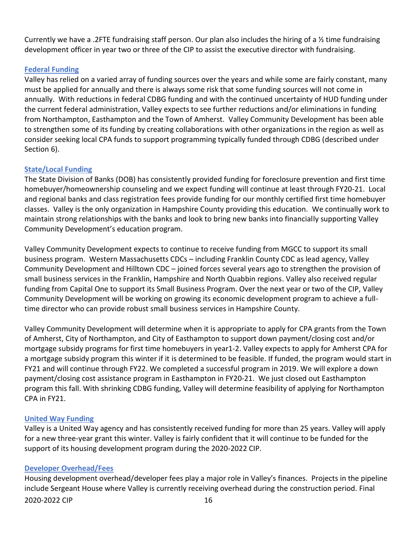Currently we have a .2FTE fundraising staff person. Our plan also includes the hiring of a ½ time fundraising development officer in year two or three of the CIP to assist the executive director with fundraising.

## **Federal Funding**

Valley has relied on a varied array of funding sources over the years and while some are fairly constant, many must be applied for annually and there is always some risk that some funding sources will not come in annually. With reductions in federal CDBG funding and with the continued uncertainty of HUD funding under the current federal administration, Valley expects to see further reductions and/or eliminations in funding from Northampton, Easthampton and the Town of Amherst. Valley Community Development has been able to strengthen some of its funding by creating collaborations with other organizations in the region as well as consider seeking local CPA funds to support programming typically funded through CDBG (described under Section 6).

## **State/Local Funding**

The State Division of Banks (DOB) has consistently provided funding for foreclosure prevention and first time homebuyer/homeownership counseling and we expect funding will continue at least through FY20-21. Local and regional banks and class registration fees provide funding for our monthly certified first time homebuyer classes. Valley is the only organization in Hampshire County providing this education. We continually work to maintain strong relationships with the banks and look to bring new banks into financially supporting Valley Community Development's education program.

Valley Community Development expects to continue to receive funding from MGCC to support its small business program. Western Massachusetts CDCs – including Franklin County CDC as lead agency, Valley Community Development and Hilltown CDC – joined forces several years ago to strengthen the provision of small business services in the Franklin, Hampshire and North Quabbin regions. Valley also received regular funding from Capital One to support its Small Business Program. Over the next year or two of the CIP, Valley Community Development will be working on growing its economic development program to achieve a fulltime director who can provide robust small business services in Hampshire County.

Valley Community Development will determine when it is appropriate to apply for CPA grants from the Town of Amherst, City of Northampton, and City of Easthampton to support down payment/closing cost and/or mortgage subsidy programs for first time homebuyers in year1-2. Valley expects to apply for Amherst CPA for a mortgage subsidy program this winter if it is determined to be feasible. If funded, the program would start in FY21 and will continue through FY22. We completed a successful program in 2019. We will explore a down payment/closing cost assistance program in Easthampton in FY20-21. We just closed out Easthampton program this fall. With shrinking CDBG funding, Valley will determine feasibility of applying for Northampton CPA in FY21.

## **United Way Funding**

Valley is a United Way agency and has consistently received funding for more than 25 years. Valley will apply for a new three-year grant this winter. Valley is fairly confident that it will continue to be funded for the support of its housing development program during the 2020-2022 CIP.

## **Developer Overhead/Fees**

2020-2022 CIP 16 Housing development overhead/developer fees play a major role in Valley's finances. Projects in the pipeline include Sergeant House where Valley is currently receiving overhead during the construction period. Final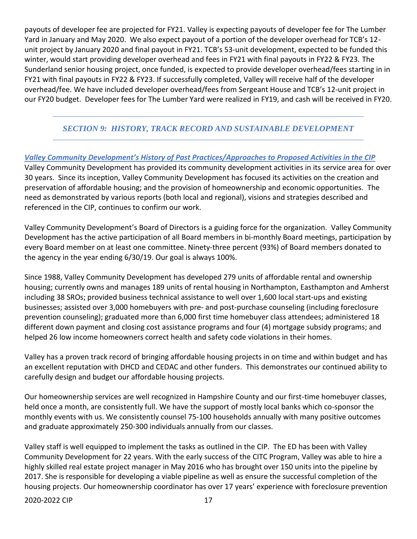payouts of developer fee are projected for FY21. Valley is expecting payouts of developer fee for The Lumber Yard in January and May 2020. We also expect payout of a portion of the developer overhead for TCB's 12 unit project by January 2020 and final payout in FY21. TCB's 53-unit development, expected to be funded this winter, would start providing developer overhead and fees in FY21 with final payouts in FY22 & FY23. The Sunderland senior housing project, once funded, is expected to provide developer overhead/fees starting in in FY21 with final payouts in FY22 & FY23. If successfully completed, Valley will receive half of the developer overhead/fee. We have included developer overhead/fees from Sergeant House and TCB's 12-unit project in our FY20 budget. Developer fees for The Lumber Yard were realized in FY19, and cash will be received in FY20.

## *SECTION 9: HISTORY, TRACK RECORD AND SUSTAINABLE DEVELOPMENT*

*Valley Community Development's History of Past Practices/Approaches to Proposed Activities in the CIP* Valley Community Development has provided its community development activities in its service area for over 30 years. Since its inception, Valley Community Development has focused its activities on the creation and preservation of affordable housing; and the provision of homeownership and economic opportunities. The need as demonstrated by various reports (both local and regional), visions and strategies described and referenced in the CIP, continues to confirm our work.

Valley Community Development's Board of Directors is a guiding force for the organization. Valley Community Development has the active participation of all Board members in bi-monthly Board meetings, participation by every Board member on at least one committee. Ninety-three percent (93%) of Board members donated to the agency in the year ending 6/30/19. Our goal is always 100%.

Since 1988, Valley Community Development has developed 279 units of affordable rental and ownership housing; currently owns and manages 189 units of rental housing in Northampton, Easthampton and Amherst including 38 SROs; provided business technical assistance to well over 1,600 local start-ups and existing businesses; assisted over 3,000 homebuyers with pre- and post-purchase counseling (including foreclosure prevention counseling); graduated more than 6,000 first time homebuyer class attendees; administered 18 different down payment and closing cost assistance programs and four (4) mortgage subsidy programs; and helped 26 low income homeowners correct health and safety code violations in their homes.

Valley has a proven track record of bringing affordable housing projects in on time and within budget and has an excellent reputation with DHCD and CEDAC and other funders. This demonstrates our continued ability to carefully design and budget our affordable housing projects.

Our homeownership services are well recognized in Hampshire County and our first-time homebuyer classes, held once a month, are consistently full. We have the support of mostly local banks which co-sponsor the monthly events with us. We consistently counsel 75-100 households annually with many positive outcomes and graduate approximately 250-300 individuals annually from our classes.

Valley staff is well equipped to implement the tasks as outlined in the CIP. The ED has been with Valley Community Development for 22 years. With the early success of the CITC Program, Valley was able to hire a highly skilled real estate project manager in May 2016 who has brought over 150 units into the pipeline by 2017. She is responsible for developing a viable pipeline as well as ensure the successful completion of the housing projects. Our homeownership coordinator has over 17 years' experience with foreclosure prevention

2020-2022 CIP 2020-2022 17